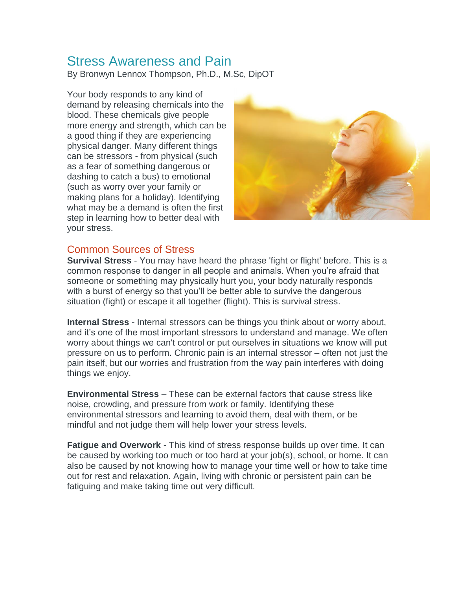# Stress Awareness and Pain

By Bronwyn Lennox Thompson, Ph.D., M.Sc, DipOT

Your body responds to any kind of demand by releasing chemicals into the blood. These chemicals give people more energy and strength, which can be a good thing if they are experiencing physical danger. Many different things can be stressors - from physical (such as a fear of something dangerous or dashing to catch a bus) to emotional (such as worry over your family or making plans for a holiday). Identifying what may be a demand is often the first step in learning how to better deal with your stress.



#### Common Sources of Stress

**Survival Stress** - You may have heard the phrase 'fight or flight' before. This is a common response to danger in all people and animals. When you're afraid that someone or something may physically hurt you, your body naturally responds with a burst of energy so that you'll be better able to survive the dangerous situation (fight) or escape it all together (flight). This is survival stress.

**Internal Stress** - Internal stressors can be things you think about or worry about, and it's one of the most important stressors to understand and manage. We often worry about things we can't control or put ourselves in situations we know will put pressure on us to perform. Chronic pain is an internal stressor – often not just the pain itself, but our worries and frustration from the way pain interferes with doing things we enjoy.

**Environmental Stress** – These can be external factors that cause stress like noise, crowding, and pressure from work or family. Identifying these environmental stressors and learning to avoid them, deal with them, or be mindful and not judge them will help lower your stress levels.

**Fatigue and Overwork** - This kind of stress response builds up over time. It can be caused by working too much or too hard at your job(s), school, or home. It can also be caused by not knowing how to manage your time well or how to take time out for rest and relaxation. Again, living with chronic or persistent pain can be fatiguing and make taking time out very difficult.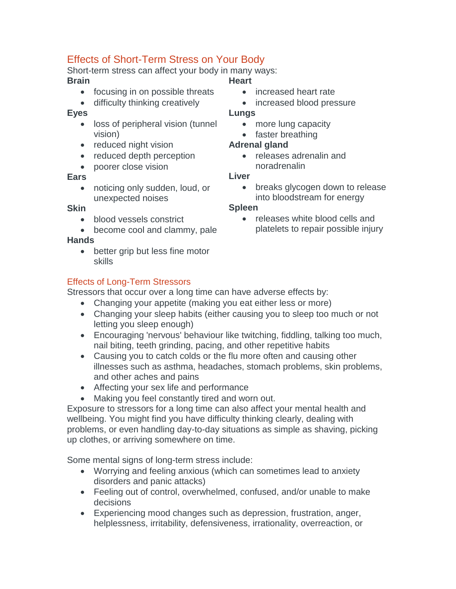## Effects of Short-Term Stress on Your Body

Short-term stress can affect your body in many ways:

#### **Brain**

- focusing in on possible threats
- difficulty thinking creatively

#### **Eyes**

- loss of peripheral vision (tunnel vision)
- reduced night vision
- reduced depth perception
- poorer close vision

#### **Ears**

• noticing only sudden, loud, or unexpected noises

#### **Skin**

- blood vessels constrict
- become cool and clammy, pale

## **Hands**

• better grip but less fine motor skills

## Effects of Long-Term Stressors

Stressors that occur over a long time can have adverse effects by:

- Changing your appetite (making you eat either less or more)
- Changing your sleep habits (either causing you to sleep too much or not letting you sleep enough)
- Encouraging 'nervous' behaviour like twitching, fiddling, talking too much, nail biting, teeth grinding, pacing, and other repetitive habits
- Causing you to catch colds or the flu more often and causing other illnesses such as asthma, headaches, stomach problems, skin problems, and other aches and pains
- Affecting your sex life and performance
- Making you feel constantly tired and worn out.

Exposure to stressors for a long time can also affect your mental health and wellbeing. You might find you have difficulty thinking clearly, dealing with problems, or even handling day-to-day situations as simple as shaving, picking up clothes, or arriving somewhere on time.

Some mental signs of long-term stress include:

- Worrying and feeling anxious (which can sometimes lead to anxiety disorders and panic attacks)
- Feeling out of control, overwhelmed, confused, and/or unable to make decisions
- Experiencing mood changes such as depression, frustration, anger, helplessness, irritability, defensiveness, irrationality, overreaction, or

## **Heart**

- increased heart rate
- increased blood pressure

### **Lungs**

- more lung capacity
- faster breathing

## **Adrenal gland**

• releases adrenalin and noradrenalin

#### **Liver**

• breaks glycogen down to release into bloodstream for energy

## **Spleen**

• releases white blood cells and platelets to repair possible injury